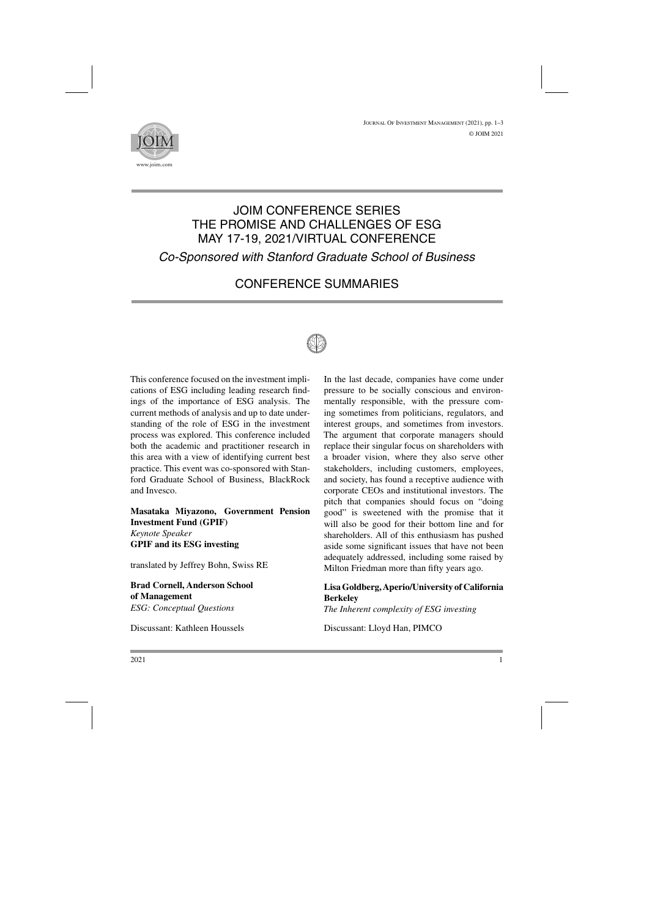<sup>J</sup>ournal <sup>O</sup>f <sup>I</sup>nvestment <sup>M</sup>anagement (2021), pp. 1–3 © JOIM 2021



## JOIM CONFERENCE SERIES THE PROMISE AND CHALLENGES OF ESG MAY 17-19, 2021/VIRTUAL CONFERENCE *Co-Sponsored with Stanford Graduate School of Business*

# CONFERENCE SUMMARIES



This conference focused on the investment implications of ESG including leading research findings of the importance of ESG analysis. The current methods of analysis and up to date understanding of the role of ESG in the investment process was explored. This conference included both the academic and practitioner research in this area with a view of identifying current best practice. This event was co-sponsored with Stanford Graduate School of Business, BlackRock and Invesco.

**Masataka Miyazono, Government Pension Investment Fund (GPIF)** *Keynote Speaker* **GPIF and its ESG investing**

translated by Jeffrey Bohn, Swiss RE

**Brad Cornell, Anderson School of Management** *ESG: Conceptual Questions*

Discussant: Kathleen Houssels

In the last decade, companies have come under pressure to be socially conscious and environmentally responsible, with the pressure coming sometimes from politicians, regulators, and interest groups, and sometimes from investors. The argument that corporate managers should replace their singular focus on shareholders with a broader vision, where they also serve other stakeholders, including customers, employees, and society, has found a receptive audience with corporate CEOs and institutional investors. The pitch that companies should focus on "doing good" is sweetened with the promise that it will also be good for their bottom line and for shareholders. All of this enthusiasm has pushed aside some significant issues that have not been adequately addressed, including some raised by Milton Friedman more than fifty years ago.

### **Lisa Goldberg, Aperio/University of California Berkeley**

*The Inherent complexity of ESG investing*

Discussant: Lloyd Han, PIMCO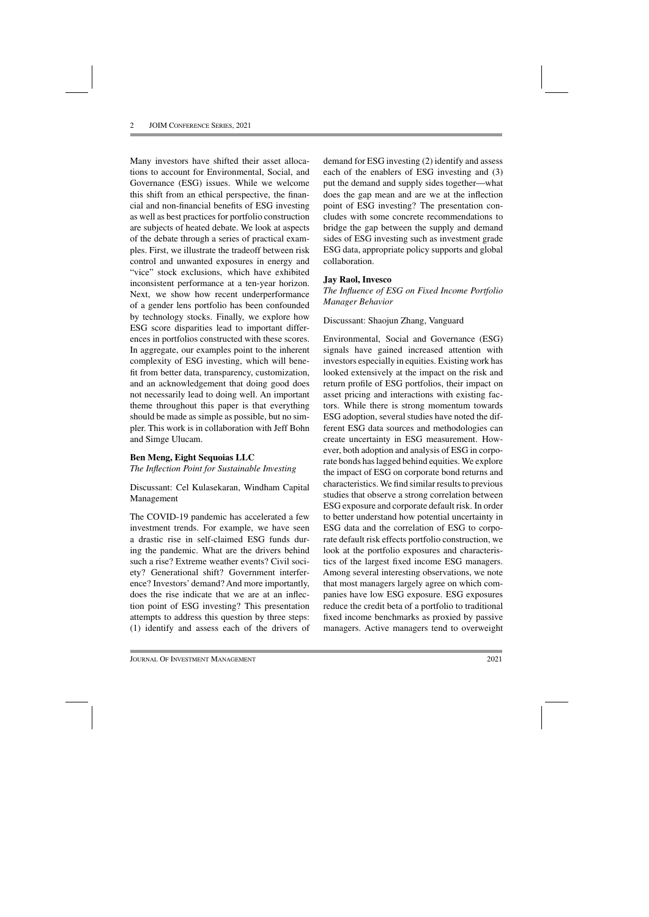Many investors have shifted their asset allocations to account for Environmental, Social, and Governance (ESG) issues. While we welcome this shift from an ethical perspective, the financial and non-financial benefits of ESG investing as well as best practices for portfolio construction are subjects of heated debate. We look at aspects of the debate through a series of practical examples. First, we illustrate the tradeoff between risk control and unwanted exposures in energy and "vice" stock exclusions, which have exhibited inconsistent performance at a ten-year horizon. Next, we show how recent underperformance of a gender lens portfolio has been confounded by technology stocks. Finally, we explore how ESG score disparities lead to important differences in portfolios constructed with these scores. In aggregate, our examples point to the inherent complexity of ESG investing, which will benefit from better data, transparency, customization, and an acknowledgement that doing good does not necessarily lead to doing well. An important theme throughout this paper is that everything should be made as simple as possible, but no simpler. This work is in collaboration with Jeff Bohn and Simge Ulucam.

#### **Ben Meng, Eight Sequoias LLC**

*The Inflection Point for Sustainable Investing*

Discussant: Cel Kulasekaran, Windham Capital Management

The COVID-19 pandemic has accelerated a few investment trends. For example, we have seen a drastic rise in self-claimed ESG funds during the pandemic. What are the drivers behind such a rise? Extreme weather events? Civil society? Generational shift? Government interference? Investors' demand? And more importantly, does the rise indicate that we are at an inflection point of ESG investing? This presentation attempts to address this question by three steps: (1) identify and assess each of the drivers of demand for ESG investing (2) identify and assess each of the enablers of ESG investing and (3) put the demand and supply sides together—what does the gap mean and are we at the inflection point of ESG investing? The presentation concludes with some concrete recommendations to bridge the gap between the supply and demand sides of ESG investing such as investment grade ESG data, appropriate policy supports and global collaboration.

#### **Jay Raol, Invesco**

*The Influence of ESG on Fixed Income Portfolio Manager Behavior*

Discussant: Shaojun Zhang, Vanguard

Environmental, Social and Governance (ESG) signals have gained increased attention with investors especially in equities. Existing work has looked extensively at the impact on the risk and return profile of ESG portfolios, their impact on asset pricing and interactions with existing factors. While there is strong momentum towards ESG adoption, several studies have noted the different ESG data sources and methodologies can create uncertainty in ESG measurement. However, both adoption and analysis of ESG in corporate bonds has lagged behind equities. We explore the impact of ESG on corporate bond returns and characteristics. We find similar results to previous studies that observe a strong correlation between ESG exposure and corporate default risk. In order to better understand how potential uncertainty in ESG data and the correlation of ESG to corporate default risk effects portfolio construction, we look at the portfolio exposures and characteristics of the largest fixed income ESG managers. Among several interesting observations, we note that most managers largely agree on which companies have low ESG exposure. ESG exposures reduce the credit beta of a portfolio to traditional fixed income benchmarks as proxied by passive managers. Active managers tend to overweight